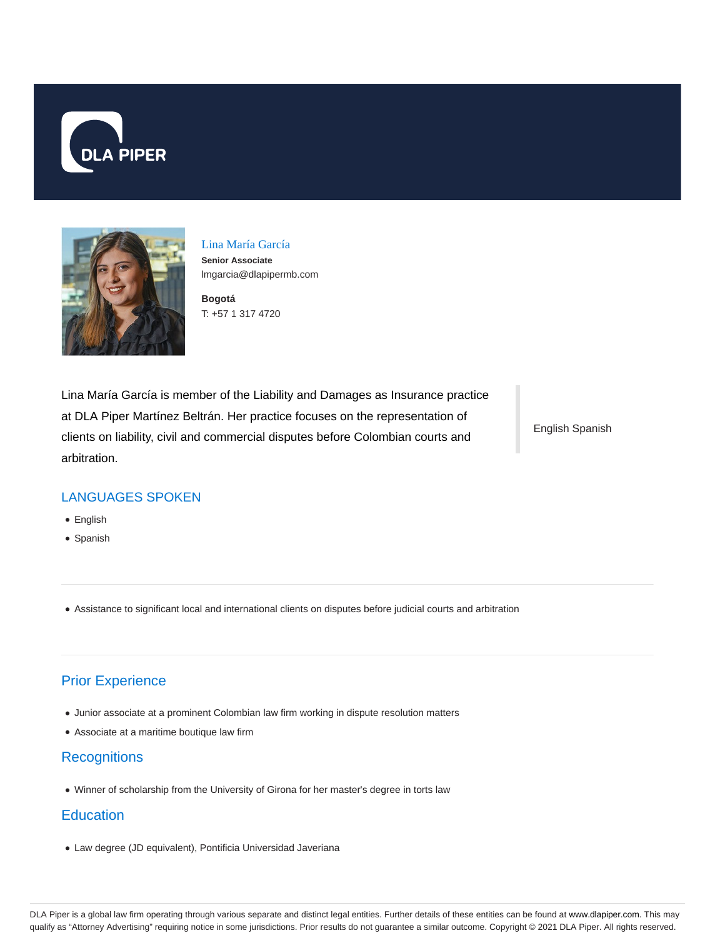



Lina María García **Senior Associate** lmgarcia@dlapipermb.com

**Bogotá** T: +57 1 317 4720

Lina María García is member of the Liability and Damages as Insurance practice at DLA Piper Martínez Beltrán. Her practice focuses on the representation of clients on liability, civil and commercial disputes before Colombian courts and arbitration.

English Spanish

#### LANGUAGES SPOKEN

- English
- Spanish

Assistance to significant local and international clients on disputes before judicial courts and arbitration

# Prior Experience

- Junior associate at a prominent Colombian law firm working in dispute resolution matters
- Associate at a maritime boutique law firm

# **Recognitions**

Winner of scholarship from the University of Girona for her master's degree in torts law

#### **Education**

Law degree (JD equivalent), Pontificia Universidad Javeriana

DLA Piper is a global law firm operating through various separate and distinct legal entities. Further details of these entities can be found at www.dlapiper.com. This may qualify as "Attorney Advertising" requiring notice in some jurisdictions. Prior results do not guarantee a similar outcome. Copyright © 2021 DLA Piper. All rights reserved.